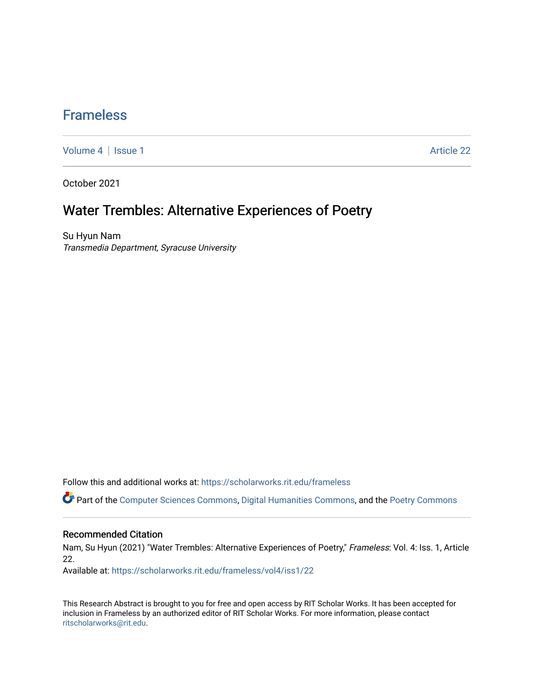## [Frameless](https://scholarworks.rit.edu/frameless)

[Volume 4](https://scholarworks.rit.edu/frameless/vol4) | [Issue 1](https://scholarworks.rit.edu/frameless/vol4/iss1) Article 22

October 2021

## Water Trembles: Alternative Experiences of Poetry

Su Hyun Nam Transmedia Department, Syracuse University

Follow this and additional works at: [https://scholarworks.rit.edu/frameless](https://scholarworks.rit.edu/frameless?utm_source=scholarworks.rit.edu%2Fframeless%2Fvol4%2Fiss1%2F22&utm_medium=PDF&utm_campaign=PDFCoverPages)

Part of the [Computer Sciences Commons](https://network.bepress.com/hgg/discipline/142?utm_source=scholarworks.rit.edu%2Fframeless%2Fvol4%2Fiss1%2F22&utm_medium=PDF&utm_campaign=PDFCoverPages), [Digital Humanities Commons](https://network.bepress.com/hgg/discipline/1286?utm_source=scholarworks.rit.edu%2Fframeless%2Fvol4%2Fiss1%2F22&utm_medium=PDF&utm_campaign=PDFCoverPages), and the [Poetry Commons](https://network.bepress.com/hgg/discipline/1153?utm_source=scholarworks.rit.edu%2Fframeless%2Fvol4%2Fiss1%2F22&utm_medium=PDF&utm_campaign=PDFCoverPages)

#### Recommended Citation

Nam, Su Hyun (2021) "Water Trembles: Alternative Experiences of Poetry," Frameless: Vol. 4: Iss. 1, Article 22.

Available at: [https://scholarworks.rit.edu/frameless/vol4/iss1/22](https://scholarworks.rit.edu/frameless/vol4/iss1/22?utm_source=scholarworks.rit.edu%2Fframeless%2Fvol4%2Fiss1%2F22&utm_medium=PDF&utm_campaign=PDFCoverPages) 

This Research Abstract is brought to you for free and open access by RIT Scholar Works. It has been accepted for inclusion in Frameless by an authorized editor of RIT Scholar Works. For more information, please contact [ritscholarworks@rit.edu](mailto:ritscholarworks@rit.edu).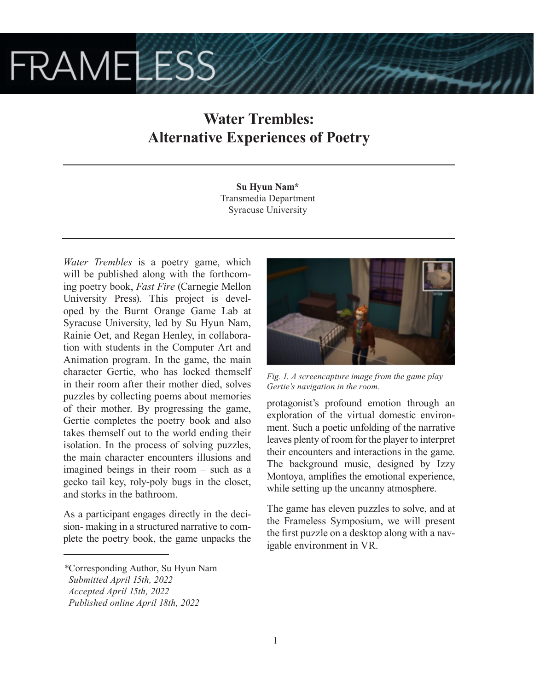# **FRAMELESS**

# **Water Trembles: Alternative Experiences of Poetry**

**Su Hyun Nam\*** Transmedia Department Syracuse University

*Water Trembles* is a poetry game, which will be published along with the forthcoming poetry book, *Fast Fire* (Carnegie Mellon University Press). This project is developed by the Burnt Orange Game Lab at Syracuse University, led by Su Hyun Nam, Rainie Oet, and Regan Henley, in collaboration with students in the Computer Art and Animation program. In the game, the main character Gertie, who has locked themself in their room after their mother died, solves puzzles by collecting poems about memories of their mother. By progressing the game, Gertie completes the poetry book and also takes themself out to the world ending their isolation. In the process of solving puzzles, the main character encounters illusions and imagined beings in their room – such as a gecko tail key, roly-poly bugs in the closet, and storks in the bathroom.

As a participant engages directly in the decision- making in a structured narrative to complete the poetry book, the game unpacks the



*Fig. 1. A screencapture image from the game play – Gertie's navigation in the room.*

protagonist's profound emotion through an exploration of the virtual domestic environment. Such a poetic unfolding of the narrative leaves plenty of room for the player to interpret their encounters and interactions in the game. The background music, designed by Izzy Montoya, amplifies the emotional experience, while setting up the uncanny atmosphere.

The game has eleven puzzles to solve, and at the Frameless Symposium, we will present the first puzzle on a desktop along with a navigable environment in VR.

*<sup>\*</sup>*Corresponding Author, Su Hyun Nam

*Submitted April 15th, 2022*

*Accepted April 15th, 2022*

*Published online April 18th, 2022*